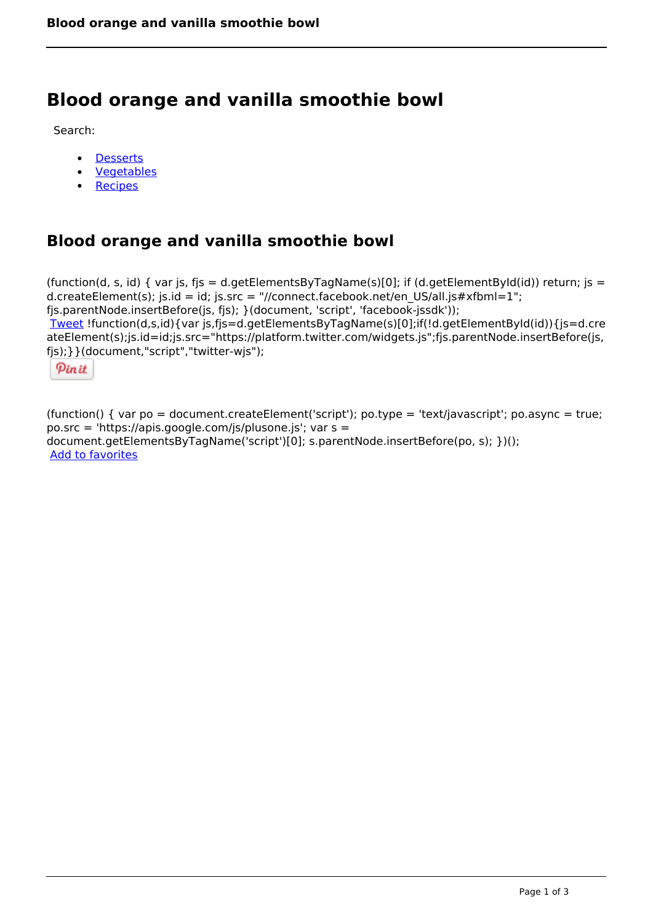# **Blood orange and vanilla smoothie bowl**

Search:

- **[Desserts](https://www.naturalhealthmag.com.au/nourish/desserts)**  $\bullet$
- [Vegetables](https://www.naturalhealthmag.com.au/nourish/veg)  $\bullet$
- **[Recipes](https://www.naturalhealthmag.com.au/nourish/recipes)**

# **Blood orange and vanilla smoothie bowl**

```
(function(d, s, id) { var js, fjs = d.getElementsByTagName(s)[0]; if (d.getElementById(id)) return; is =
d.createElement(s); js.id = id; js.src = "//connect.facebook.net/en_US/all.js#xfbml=1";
fjs.parentNode.insertBefore(js, fjs); }(document, 'script', 'facebook-jssdk')); 
Tweet !function(d,s,id){var js,fjs=d.getElementsByTagName(s)[0];if(!d.getElementById(id)){js=d.cre
ateElement(s);js.id=id;js.src="https://platform.twitter.com/widgets.js";fjs.parentNode.insertBefore(js,
fjs);}}(document,"script","twitter-wjs"); 
  Pin it
```
(function() { var po = document.createElement('script'); po.type = 'text/javascript'; po.async = true; po.src = 'https://apis.google.com/js/plusone.js'; var s = document.getElementsByTagName('script')[0]; s.parentNode.insertBefore(po, s); })(); Add to favorites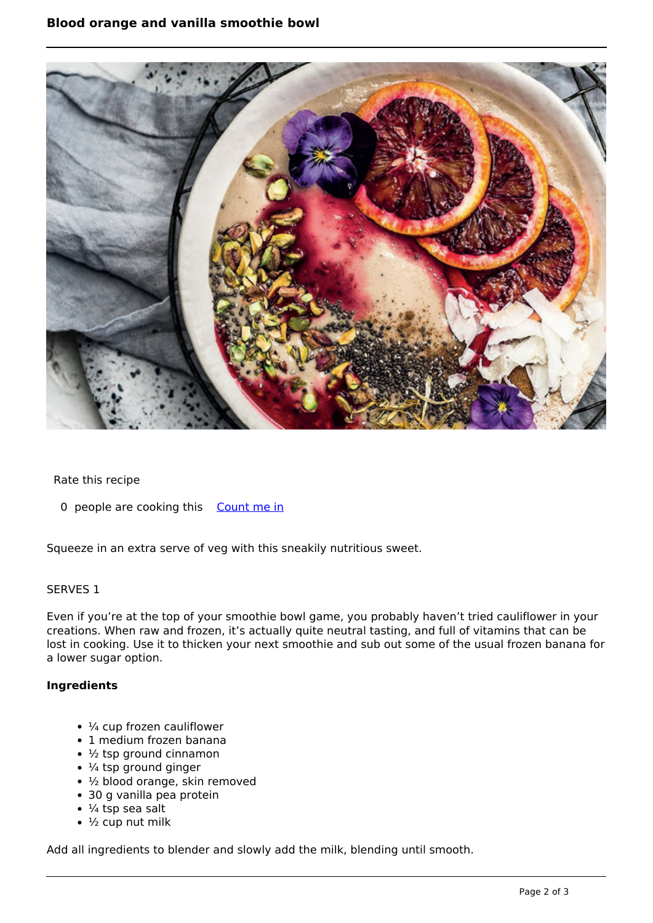

#### Rate this recipe

0 people are cooking this [Count me in](https://www.naturalhealthmag.com.au/flag/flag/favorites/2529?destination=printpdf%2F2529&token=fdc185239003de07efc324355fa2423b)

Squeeze in an extra serve of veg with this sneakily nutritious sweet.

## SERVES 1

Even if you're at the top of your smoothie bowl game, you probably haven't tried cauliflower in your creations. When raw and frozen, it's actually quite neutral tasting, and full of vitamins that can be lost in cooking. Use it to thicken your next smoothie and sub out some of the usual frozen banana for a lower sugar option.

## **Ingredients**

- $\cdot$   $\frac{1}{4}$  cup frozen cauliflower
- 1 medium frozen banana
- $\cdot$   $\frac{1}{2}$  tsp ground cinnamon
- $\cdot$   $\frac{1}{4}$  tsp ground ginger
- ½ blood orange, skin removed
- 30 g vanilla pea protein
- $\cdot$  ¼ tsp sea salt
- $\cdot$   $\frac{1}{2}$  cup nut milk

Add all ingredients to blender and slowly add the milk, blending until smooth.